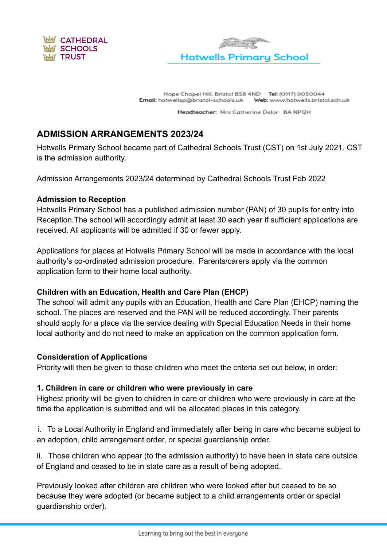



Hope Chapel Hill, Bristol BS8 4ND Tel: (0117) 9030044 Email: hotwellsp@bristol-schools.uk Web: www.hotwells.bristol.sch.uk

Headteacher: Mrs Catherine Delor BA NPQH

# **ADMISSION ARRANGEMENTS 2023/24**

Hotwells Primary School became part of Cathedral Schools Trust (CST) on 1st July 2021. CST is the admission authority.

Admission Arrangements 2023/24 determined by Cathedral Schools Trust Feb 2022

## **Admission to Reception**

Hotwells Primary School has a published admission number (PAN) of 30 pupils for entry into Reception.The school will accordingly admit at least 30 each year if sufficient applications are received. All applicants will be admitted if 30 or fewer apply.

Applications for places at Hotwells Primary School will be made in accordance with the local authority's co-ordinated admission procedure. Parents/carers apply via the common application form to their home local authority.

## **Children with an Education, Health and Care Plan (EHCP)**

The school will admit any pupils with an Education, Health and Care Plan (EHCP) naming the school. The places are reserved and the PAN will be reduced accordingly. Their parents should apply for a place via the service dealing with Special Education Needs in their home local authority and do not need to make an application on the common application form.

## **Consideration of Applications**

Priority will then be given to those children who meet the criteria set out below, in order:

## **1. Children in care or children who were previously in care**

Highest priority will be given to children in care or children who were previously in care at the time the application is submitted and will be allocated places in this category.

i. To a Local Authority in England and immediately after being in care who became subject to an adoption, child arrangement order, or special guardianship order.

ii. Those children who appear (to the admission authority) to have been in state care outside of England and ceased to be in state care as a result of being adopted.

Previously looked after children are children who were looked after but ceased to be so because they were adopted (or became subject to a child arrangements order or special guardianship order).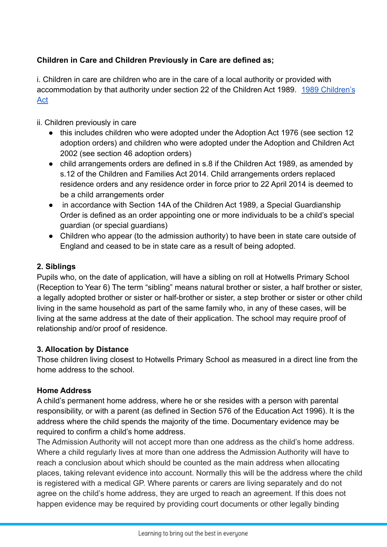# **Children in Care and Children Previously in Care are defined as;**

i. Children in care are children who are in the care of a local authority or provided with accommodation by that authority under section 22 of the Children Act 1989. [1989 Children's](https://www.legislation.gov.uk/ukpga/1989/41/contents) [Act](https://www.legislation.gov.uk/ukpga/1989/41/contents)

## ii. Children previously in care

- this includes children who were adopted under the Adoption Act 1976 (see section 12 adoption orders) and children who were adopted under the Adoption and Children Act 2002 (see section 46 adoption orders)
- child arrangements orders are defined in s.8 if the Children Act 1989, as amended by s.12 of the Children and Families Act 2014. Child arrangements orders replaced residence orders and any residence order in force prior to 22 April 2014 is deemed to be a child arrangements order
- in accordance with Section 14A of the Children Act 1989, a Special Guardianship Order is defined as an order appointing one or more individuals to be a child's special guardian (or special guardians)
- Children who appear (to the admission authority) to have been in state care outside of England and ceased to be in state care as a result of being adopted.

## **2. Siblings**

Pupils who, on the date of application, will have a sibling on roll at Hotwells Primary School (Reception to Year 6) The term "sibling" means natural brother or sister, a half brother or sister, a legally adopted brother or sister or half-brother or sister, a step brother or sister or other child living in the same household as part of the same family who, in any of these cases, will be living at the same address at the date of their application. The school may require proof of relationship and/or proof of residence.

## **3. Allocation by Distance**

Those children living closest to Hotwells Primary School as measured in a direct line from the home address to the school.

#### **Home Address**

A child's permanent home address, where he or she resides with a person with parental responsibility, or with a parent (as defined in Section 576 of the Education Act 1996). It is the address where the child spends the majority of the time. Documentary evidence may be required to confirm a child's home address.

The Admission Authority will not accept more than one address as the child's home address. Where a child regularly lives at more than one address the Admission Authority will have to reach a conclusion about which should be counted as the main address when allocating places, taking relevant evidence into account. Normally this will be the address where the child is registered with a medical GP. Where parents or carers are living separately and do not agree on the child's home address, they are urged to reach an agreement. If this does not happen evidence may be required by providing court documents or other legally binding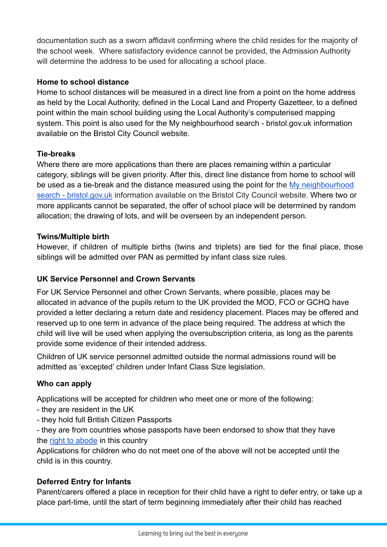documentation such as a sworn affidavit confirming where the child resides for the majority of the school week. Where satisfactory evidence cannot be provided, the Admission Authority will determine the address to be used for allocating a school place.

## **Home to school distance**

Home to school distances will be measured in a direct line from a point on the home address as held by the Local Authority, defined in the Local Land and Property Gazetteer, to a defined point within the main school building using the Local Authority's computerised mapping system. This point is also used for the My neighbourhood search - bristol.gov.uk information available on the Bristol City Council website.

#### **Tie-breaks**

Where there are more applications than there are places remaining within a particular category, siblings will be given priority. After this, direct line distance from home to school will be used as a tie-break and the distance measured using the point for the [My neighbourhood](https://www.bristol.gov.uk/people-communities/my-neighbourhood-search) [search - bristol.gov.uk](https://www.bristol.gov.uk/people-communities/my-neighbourhood-search) information available on the Bristol City Council website. Where two or more applicants cannot be separated, the offer of school place will be determined by random allocation; the drawing of lots, and will be overseen by an independent person.

## **Twins/Multiple birth**

However, if children of multiple births (twins and triplets) are tied for the final place, those siblings will be admitted over PAN as permitted by infant class size rules.

## **UK Service Personnel and Crown Servants**

For UK Service Personnel and other Crown Servants, where possible, places may be allocated in advance of the pupils return to the UK provided the MOD, FCO or GCHQ have provided a letter declaring a return date and residency placement. Places may be offered and reserved up to one term in advance of the place being required. The address at which the child will live will be used when applying the oversubscription criteria, as long as the parents provide some evidence of their intended address.

Children of UK service personnel admitted outside the normal admissions round will be admitted as 'excepted' children under Infant Class Size legislation.

## **Who can apply**

Applications will be accepted for children who meet one or more of the following:

- they are resident in the UK
- they hold full British Citizen Passports

- they are from countries whose passports have been endorsed to show that they have the [right to abode](https://www.gov.uk/right-of-abode) in this country

Applications for children who do not meet one of the above will not be accepted until the child is in this country.

## **Deferred Entry for Infants**

Parent/carers offered a place in reception for their child have a right to defer entry, or take up a place part-time, until the start of term beginning immediately after their child has reached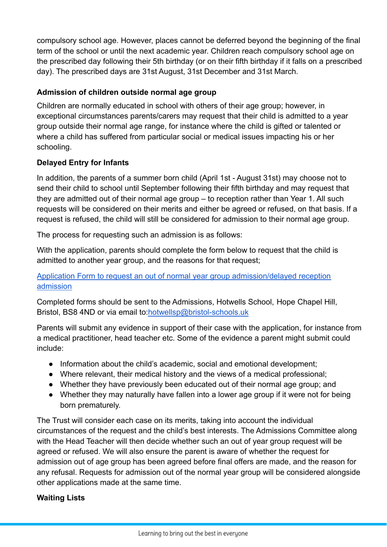compulsory school age. However, places cannot be deferred beyond the beginning of the final term of the school or until the next academic year. Children reach compulsory school age on the prescribed day following their 5th birthday (or on their fifth birthday if it falls on a prescribed day). The prescribed days are 31st August, 31st December and 31st March.

## **Admission of children outside normal age group**

Children are normally educated in school with others of their age group; however, in exceptional circumstances parents/carers may request that their child is admitted to a year group outside their normal age range, for instance where the child is gifted or talented or where a child has suffered from particular social or medical issues impacting his or her schooling.

# **Delayed Entry for Infants**

In addition, the parents of a summer born child (April 1st - August 31st) may choose not to send their child to school until September following their fifth birthday and may request that they are admitted out of their normal age group – to reception rather than Year 1. All such requests will be considered on their merits and either be agreed or refused, on that basis. If a request is refused, the child will still be considered for admission to their normal age group.

The process for requesting such an admission is as follows:

With the application, parents should complete the form below to request that the child is admitted to another year group, and the reasons for that request;

## [Application Form to request an out of normal year group admission/delayed reception](https://docs.google.com/document/d/1i08JYTaf_mEFePnnCZDdQ3G8peQ5IDEC7LstsAHPcmc/edit?usp=sharing) [admission](https://docs.google.com/document/d/1i08JYTaf_mEFePnnCZDdQ3G8peQ5IDEC7LstsAHPcmc/edit?usp=sharing)

Completed forms should be sent to the Admissions, Hotwells School, Hope Chapel Hill, Bristol, BS8 4ND or via email to[:hotwellsp@bristol-schools.uk](mailto:hotwellsp@bristol-schools.uk)

Parents will submit any evidence in support of their case with the application, for instance from a medical practitioner, head teacher etc. Some of the evidence a parent might submit could include:

- Information about the child's academic, social and emotional development;
- Where relevant, their medical history and the views of a medical professional;
- Whether they have previously been educated out of their normal age group; and
- Whether they may naturally have fallen into a lower age group if it were not for being born prematurely.

The Trust will consider each case on its merits, taking into account the individual circumstances of the request and the child's best interests. The Admissions Committee along with the Head Teacher will then decide whether such an out of year group request will be agreed or refused. We will also ensure the parent is aware of whether the request for admission out of age group has been agreed before final offers are made, and the reason for any refusal. Requests for admission out of the normal year group will be considered alongside other applications made at the same time.

## **Waiting Lists**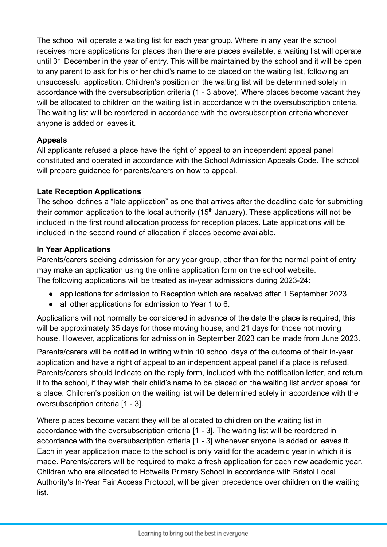The school will operate a waiting list for each year group. Where in any year the school receives more applications for places than there are places available, a waiting list will operate until 31 December in the year of entry. This will be maintained by the school and it will be open to any parent to ask for his or her child's name to be placed on the waiting list, following an unsuccessful application. Children's position on the waiting list will be determined solely in accordance with the oversubscription criteria (1 - 3 above). Where places become vacant they will be allocated to children on the waiting list in accordance with the oversubscription criteria. The waiting list will be reordered in accordance with the oversubscription criteria whenever anyone is added or leaves it.

## **Appeals**

All applicants refused a place have the right of appeal to an independent appeal panel constituted and operated in accordance with the School Admission Appeals Code. The school will prepare quidance for parents/carers on how to appeal.

## **Late Reception Applications**

The school defines a "late application" as one that arrives after the deadline date for submitting their common application to the local authority ( $15<sup>th</sup>$  January). These applications will not be included in the first round allocation process for reception places. Late applications will be included in the second round of allocation if places become available.

## **In Year Applications**

Parents/carers seeking admission for any year group, other than for the normal point of entry may make an application using the online application form on the school website. The following applications will be treated as in-year admissions during 2023-24:

- applications for admission to Reception which are received after 1 September 2023
- all other applications for admission to Year 1 to 6.

Applications will not normally be considered in advance of the date the place is required, this will be approximately 35 days for those moving house, and 21 days for those not moving house. However, applications for admission in September 2023 can be made from June 2023.

Parents/carers will be notified in writing within 10 school days of the outcome of their in-year application and have a right of appeal to an independent appeal panel if a place is refused. Parents/carers should indicate on the reply form, included with the notification letter, and return it to the school, if they wish their child's name to be placed on the waiting list and/or appeal for a place. Children's position on the waiting list will be determined solely in accordance with the oversubscription criteria [1 - 3].

Where places become vacant they will be allocated to children on the waiting list in accordance with the oversubscription criteria [1 - 3]. The waiting list will be reordered in accordance with the oversubscription criteria [1 - 3] whenever anyone is added or leaves it. Each in year application made to the school is only valid for the academic year in which it is made. Parents/carers will be required to make a fresh application for each new academic year. Children who are allocated to Hotwells Primary School in accordance with Bristol Local Authority's In-Year Fair Access Protocol, will be given precedence over children on the waiting list.